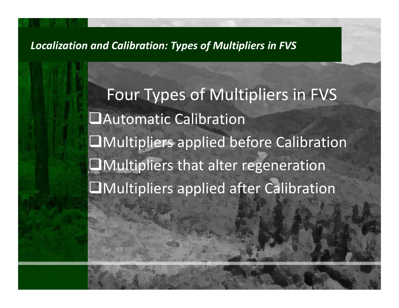Four Types of Multipliers in FVS Automatic Calibration Multipliers applied before Calibration Multipliers that alter regeneration Multipliers applied after Calibration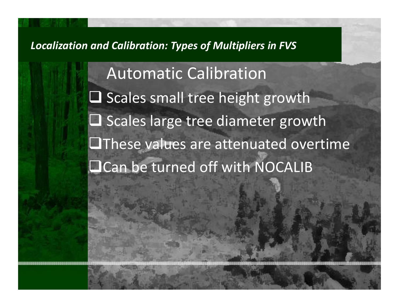Automatic Calibration  $\square$  Scales small tree height growth  $\square$  Scales large tree diameter growth  $\square$  These values are attenuated overtime **QCan be turned off with NOCALIB**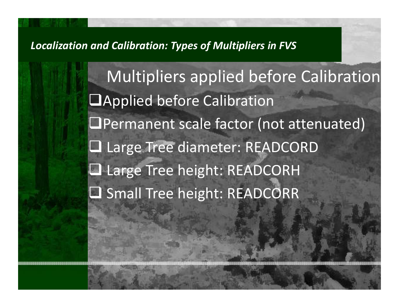Multipliers applied before Calibration Applied before Calibration  $\Box$ Permanent scale factor (not attenuated) Large Tree diameter: READCORD **Q** Large Tree height: READCORH □ Small Tree height: READCORR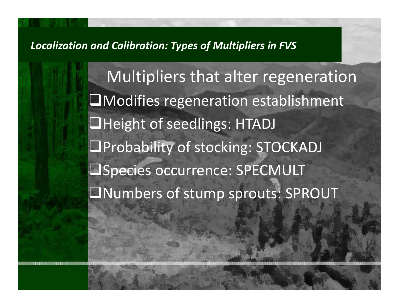Multipliers that alter regeneration  $\square$ Modifies regeneration establishment **QHeight of seedlings: HTADJ OProbability of stocking: STOCKADJ OSpecies occurrence: SPECMULT** Numbers of stump sprouts: SPROUT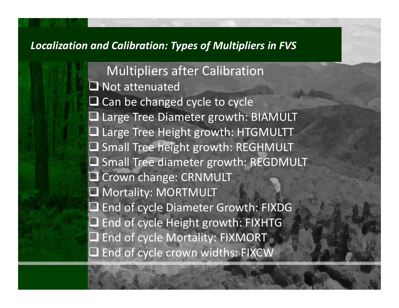Multipliers after Calibration **Not attenuated**  $\square$  Can be changed cycle to cycle Large Tree Diameter growth: BIAMULT Large Tree Height growth: HTGMULTT  $\square$  Small Tree height growth: REGHMULT **Q** Small Tree diameter growth: REGDMULT **Q** Crown change: CRNMULT Mortality: MORTMULT ■ End of cycle Diameter Growth: FIXDG ■ End of cycle Height growth: FIXHTG ■ End of cycle Mortality: FIXMORT ■ End of cycle crown widths: FIXCW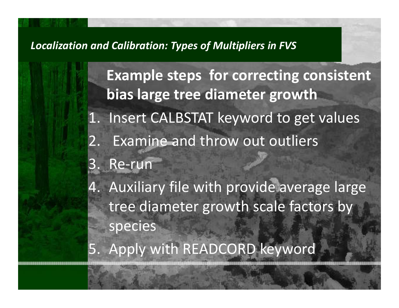**Example steps for correcting consistent bias large tree diameter growth** 1. Insert CALBSTAT keyword to get values 2. Examine and throw out outliers 3. Re‐run 4. Auxiliary file with provide average large tree diameter growth scale factors by species

5. Apply with READCORD keyword